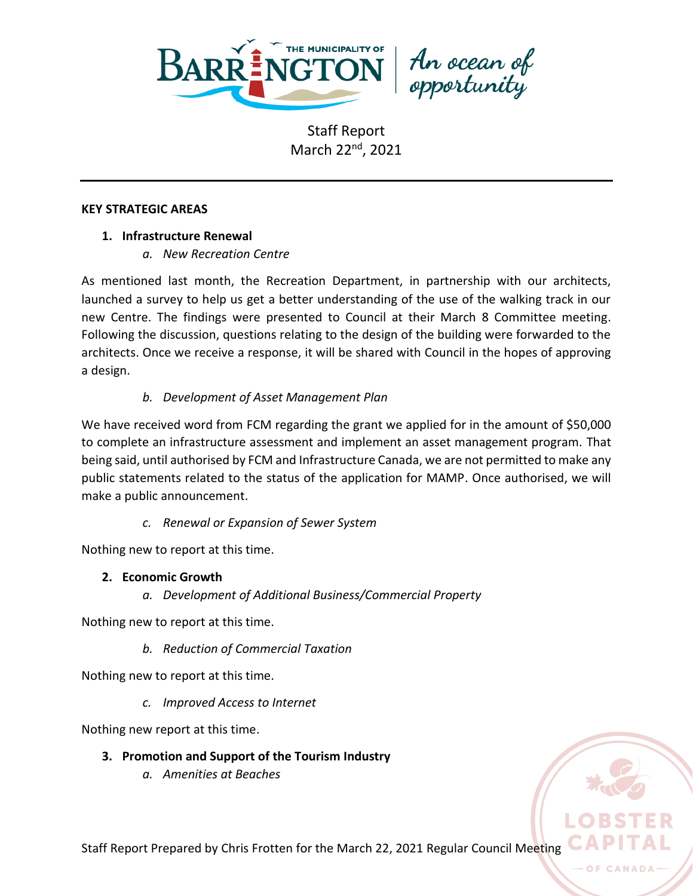

An ocean of<br>opportunity

### **KEY STRATEGIC AREAS**

## **1. Infrastructure Renewal**

*a. New Recreation Centre*

As mentioned last month, the Recreation Department, in partnership with our architects, launched a survey to help us get a better understanding of the use of the walking track in our new Centre. The findings were presented to Council at their March 8 Committee meeting. Following the discussion, questions relating to the design of the building were forwarded to the architects. Once we receive a response, it will be shared with Council in the hopes of approving a design.

# *b. Development of Asset Management Plan*

We have received word from FCM regarding the grant we applied for in the amount of \$50,000 to complete an infrastructure assessment and implement an asset management program. That being said, until authorised by FCM and Infrastructure Canada, we are not permitted to make any public statements related to the status of the application for MAMP. Once authorised, we will make a public announcement.

*c. Renewal or Expansion of Sewer System*

Nothing new to report at this time.

# **2. Economic Growth**

*a. Development of Additional Business/Commercial Property*

Nothing new to report at this time.

*b. Reduction of Commercial Taxation*

Nothing new to report at this time.

*c. Improved Access to Internet*

Nothing new report at this time.

# **3. Promotion and Support of the Tourism Industry**

*a. Amenities at Beaches*



Staff Report Prepared by Chris Frotten for the March 22, 2021 Regular Council Meeting

OF CAN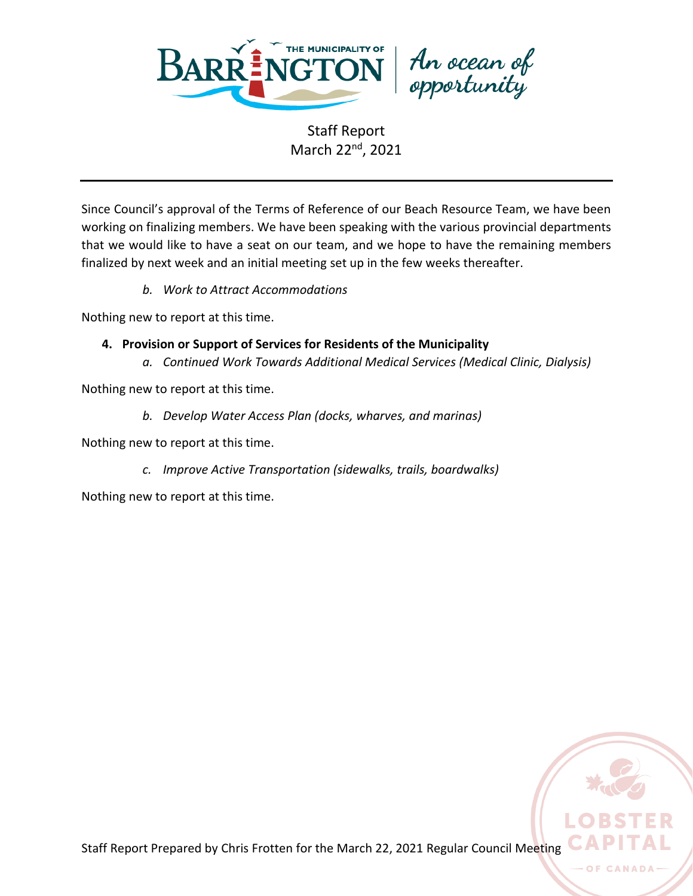

An ocean of<br>opportunity

Since Council's approval of the Terms of Reference of our Beach Resource Team, we have been working on finalizing members. We have been speaking with the various provincial departments that we would like to have a seat on our team, and we hope to have the remaining members finalized by next week and an initial meeting set up in the few weeks thereafter.

*b. Work to Attract Accommodations*

Nothing new to report at this time.

- **4. Provision or Support of Services for Residents of the Municipality**
	- *a. Continued Work Towards Additional Medical Services (Medical Clinic, Dialysis)*

Nothing new to report at this time.

*b. Develop Water Access Plan (docks, wharves, and marinas)*

Nothing new to report at this time.

*c. Improve Active Transportation (sidewalks, trails, boardwalks)*

Nothing new to report at this time.

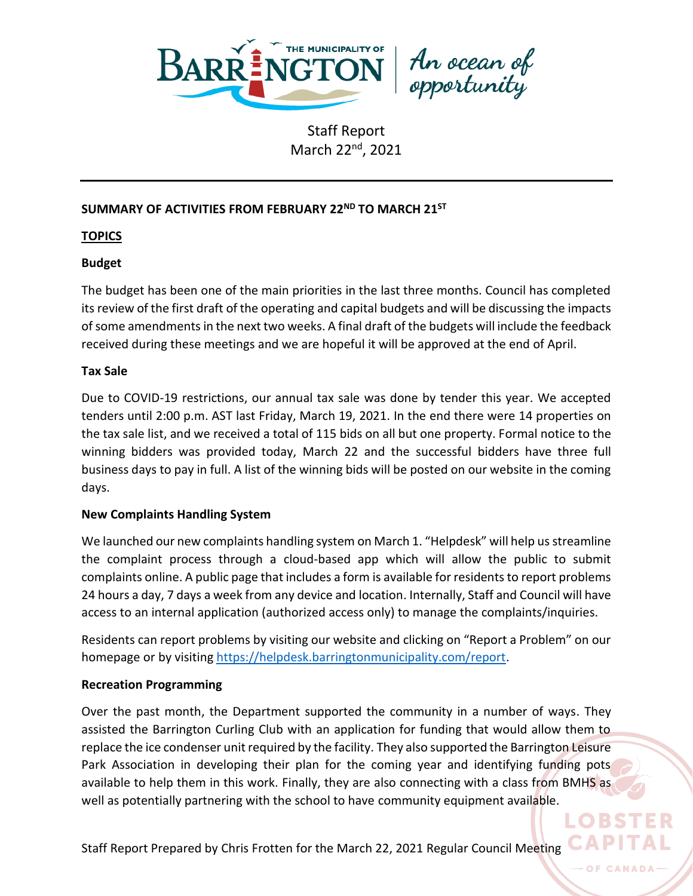

An ocean of<br>opportunity

# **SUMMARY OF ACTIVITIES FROM FEBRUARY 22 ND TO MARCH 21ST**

## **TOPICS**

## **Budget**

The budget has been one of the main priorities in the last three months. Council has completed its review of the first draft of the operating and capital budgets and will be discussing the impacts of some amendments in the next two weeks. A final draft of the budgets will include the feedback received during these meetings and we are hopeful it will be approved at the end of April.

### **Tax Sale**

Due to COVID-19 restrictions, our annual tax sale was done by tender this year. We accepted tenders until 2:00 p.m. AST last Friday, March 19, 2021. In the end there were 14 properties on the tax sale list, and we received a total of 115 bids on all but one property. Formal notice to the winning bidders was provided today, March 22 and the successful bidders have three full business days to pay in full. A list of the winning bids will be posted on our website in the coming days.

### **New Complaints Handling System**

We launched our new complaints handling system on March 1. "Helpdesk" will help us streamline the complaint process through a cloud-based app which will allow the public to submit complaints online. A public page that includes a form is available for residents to report problems 24 hours a day, 7 days a week from any device and location. Internally, Staff and Council will have access to an internal application (authorized access only) to manage the complaints/inquiries.

Residents can report problems by visiting our website and clicking on "Report a Problem" on our homepage or by visiting [https://helpdesk.barringtonmunicipality.com/report.](https://helpdesk.barringtonmunicipality.com/report)

### **Recreation Programming**

Over the past month, the Department supported the community in a number of ways. They assisted the Barrington Curling Club with an application for funding that would allow them to replace the ice condenser unit required by the facility. They also supported the Barrington Leisure Park Association in developing their plan for the coming year and identifying funding pots available to help them in this work. Finally, they are also connecting with a class from BMHS as well as potentially partnering with the school to have community equipment available.

LORS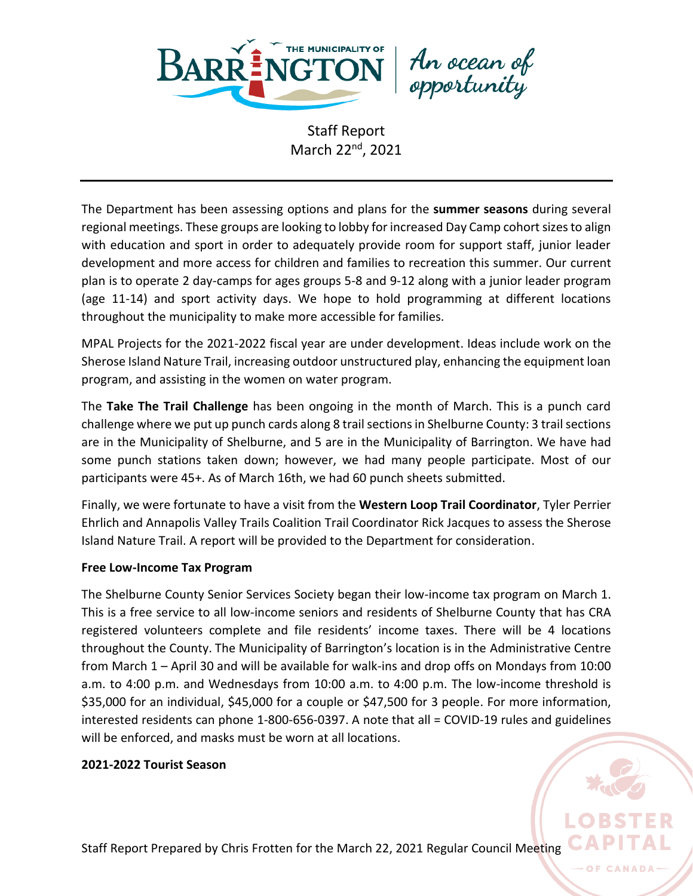

An ocean of<br>opportunity

The Department has been assessing options and plans for the **summer seasons** during several regional meetings. These groups are looking to lobby for increased Day Camp cohort sizes to align with education and sport in order to adequately provide room for support staff, junior leader development and more access for children and families to recreation this summer. Our current plan is to operate 2 day-camps for ages groups 5-8 and 9-12 along with a junior leader program (age 11-14) and sport activity days. We hope to hold programming at different locations throughout the municipality to make more accessible for families.

MPAL Projects for the 2021-2022 fiscal year are under development. Ideas include work on the Sherose Island Nature Trail, increasing outdoor unstructured play, enhancing the equipment loan program, and assisting in the women on water program.

The **Take The Trail Challenge** has been ongoing in the month of March. This is a punch card challenge where we put up punch cards along 8 trail sections in Shelburne County: 3 trail sections are in the Municipality of Shelburne, and 5 are in the Municipality of Barrington. We have had some punch stations taken down; however, we had many people participate. Most of our participants were 45+. As of March 16th, we had 60 punch sheets submitted.

Finally, we were fortunate to have a visit from the **Western Loop Trail Coordinator**, Tyler Perrier Ehrlich and Annapolis Valley Trails Coalition Trail Coordinator Rick Jacques to assess the Sherose Island Nature Trail. A report will be provided to the Department for consideration.

### **Free Low-Income Tax Program**

The Shelburne County Senior Services Society began their low-income tax program on March 1. This is a free service to all low-income seniors and residents of Shelburne County that has CRA registered volunteers complete and file residents' income taxes. There will be 4 locations throughout the County. The Municipality of Barrington's location is in the Administrative Centre from March 1 – April 30 and will be available for walk-ins and drop offs on Mondays from 10:00 a.m. to 4:00 p.m. and Wednesdays from 10:00 a.m. to 4:00 p.m. The low-income threshold is \$35,000 for an individual, \$45,000 for a couple or \$47,500 for 3 people. For more information, interested residents can phone 1-800-656-0397. A note that all = COVID-19 rules and guidelines will be enforced, and masks must be worn at all locations.

### **2021-2022 Tourist Season**

Staff Report Prepared by Chris Frotten for the March 22, 2021 Regular Council Meeting

O<sub>F</sub>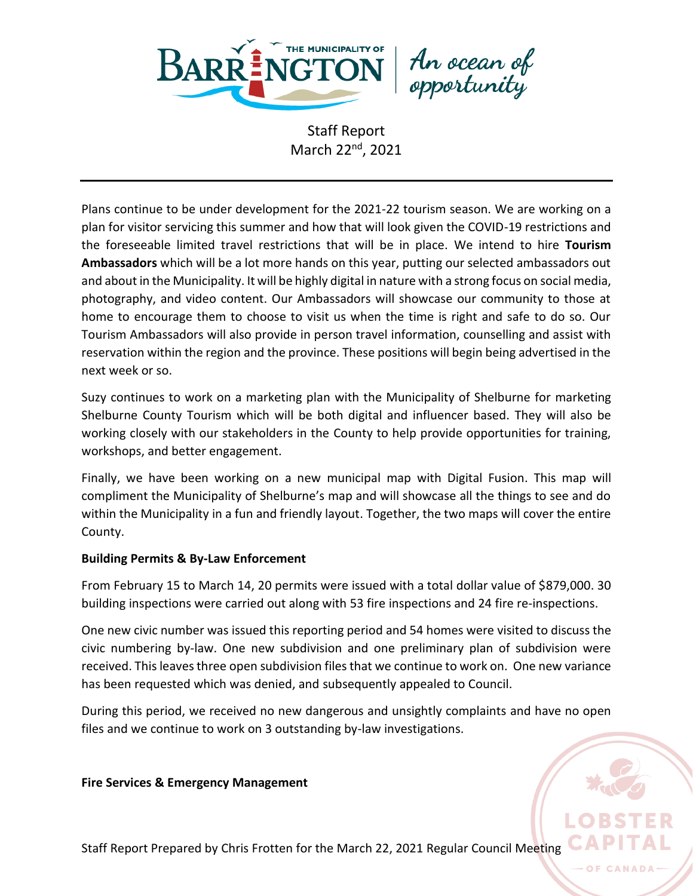

An ocean of<br>opportunity

Plans continue to be under development for the 2021-22 tourism season. We are working on a plan for visitor servicing this summer and how that will look given the COVID-19 restrictions and the foreseeable limited travel restrictions that will be in place. We intend to hire **Tourism Ambassadors** which will be a lot more hands on this year, putting our selected ambassadors out and about in the Municipality. It will be highly digital in nature with a strong focus on social media, photography, and video content. Our Ambassadors will showcase our community to those at home to encourage them to choose to visit us when the time is right and safe to do so. Our Tourism Ambassadors will also provide in person travel information, counselling and assist with reservation within the region and the province. These positions will begin being advertised in the next week or so.

Suzy continues to work on a marketing plan with the Municipality of Shelburne for marketing Shelburne County Tourism which will be both digital and influencer based. They will also be working closely with our stakeholders in the County to help provide opportunities for training, workshops, and better engagement.

Finally, we have been working on a new municipal map with Digital Fusion. This map will compliment the Municipality of Shelburne's map and will showcase all the things to see and do within the Municipality in a fun and friendly layout. Together, the two maps will cover the entire County.

### **Building Permits & By-Law Enforcement**

From February 15 to March 14, 20 permits were issued with a total dollar value of \$879,000. 30 building inspections were carried out along with 53 fire inspections and 24 fire re-inspections.

One new civic number was issued this reporting period and 54 homes were visited to discuss the civic numbering by-law. One new subdivision and one preliminary plan of subdivision were received. This leaves three open subdivision files that we continue to work on. One new variance has been requested which was denied, and subsequently appealed to Council.

During this period, we received no new dangerous and unsightly complaints and have no open files and we continue to work on 3 outstanding by-law investigations.

### **Fire Services & Emergency Management**

Staff Report Prepared by Chris Frotten for the March 22, 2021 Regular Council Meeting

O<sub>F</sub>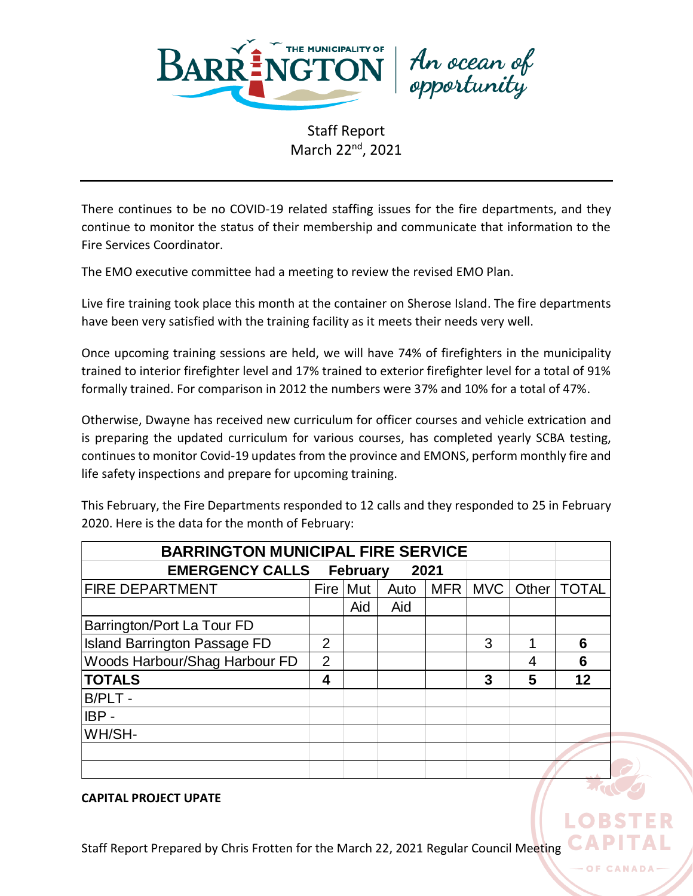

An ocean of<br>opportunity

There continues to be no COVID-19 related staffing issues for the fire departments, and they continue to monitor the status of their membership and communicate that information to the Fire Services Coordinator.

The EMO executive committee had a meeting to review the revised EMO Plan.

Live fire training took place this month at the container on Sherose Island. The fire departments have been very satisfied with the training facility as it meets their needs very well.

Once upcoming training sessions are held, we will have 74% of firefighters in the municipality trained to interior firefighter level and 17% trained to exterior firefighter level for a total of 91% formally trained. For comparison in 2012 the numbers were 37% and 10% for a total of 47%.

Otherwise, Dwayne has received new curriculum for officer courses and vehicle extrication and is preparing the updated curriculum for various courses, has completed yearly SCBA testing, continues to monitor Covid-19 updates from the province and EMONS, perform monthly fire and life safety inspections and prepare for upcoming training.

This February, the Fire Departments responded to 12 calls and they responded to 25 in February 2020. Here is the data for the month of February:

| <b>BARRINGTON MUNICIPAL FIRE SERVICE</b>          |                |            |      |            |            |         |              |
|---------------------------------------------------|----------------|------------|------|------------|------------|---------|--------------|
| <b>EMERGENCY CALLS</b><br><b>February</b><br>2021 |                |            |      |            |            |         |              |
| <b>FIRE DEPARTMENT</b>                            |                | Fire   Mut | Auto | <b>MFR</b> | <b>MVC</b> | Other I | <b>TOTAL</b> |
|                                                   |                | Aid        | Aid  |            |            |         |              |
| Barrington/Port La Tour FD                        |                |            |      |            |            |         |              |
| <b>Island Barrington Passage FD</b>               | $\overline{2}$ |            |      |            | 3          |         | 6            |
| Woods Harbour/Shag Harbour FD                     | 2              |            |      |            |            | 4       | 6            |
| <b>TOTALS</b>                                     | 4              |            |      |            | 3          | 5       | 12           |
| B/PLT -                                           |                |            |      |            |            |         |              |
| $IBP -$                                           |                |            |      |            |            |         |              |
| WH/SH-                                            |                |            |      |            |            |         |              |
|                                                   |                |            |      |            |            |         |              |
|                                                   |                |            |      |            |            |         |              |

### **CAPITAL PROJECT UPATE**

Staff Report Prepared by Chris Frotten for the March 22, 2021 Regular Council Meeting